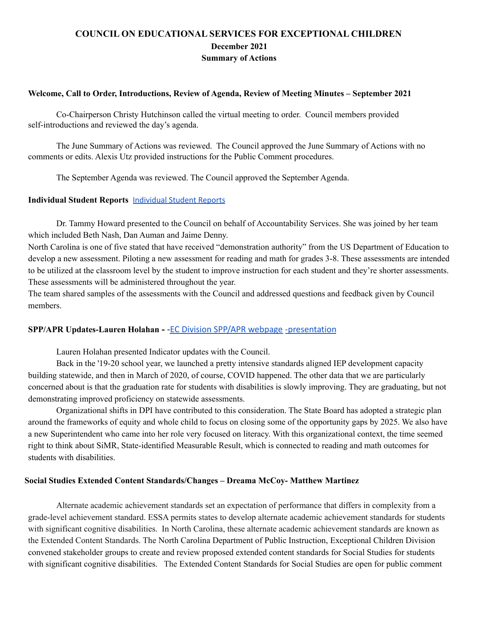# **COUNCIL ON EDUCATIONAL SERVICES FOR EXCEPTIONAL CHILDREN December 2021 Summary of Actions**

#### **Welcome, Call to Order, Introductions, Review of Agenda, Review of Meeting Minutes – September 2021**

Co-Chairperson Christy Hutchinson called the virtual meeting to order. Council members provided self-introductions and reviewed the day's agenda.

The June Summary of Actions was reviewed. The Council approved the June Summary of Actions with no comments or edits. Alexis Utz provided instructions for the Public Comment procedures.

The September Agenda was reviewed. The Council approved the September Agenda.

#### **Individual Student Reports** [Individual](https://drive.google.com/file/d/10SxQ1I4yB89_0p5j1GChwaFwlWApP9Ho/view?usp=sharing) Student Reports

Dr. Tammy Howard presented to the Council on behalf of Accountability Services. She was joined by her team which included Beth Nash, Dan Auman and Jaime Denny.

North Carolina is one of five stated that have received "demonstration authority" from the US Department of Education to develop a new assessment. Piloting a new assessment for reading and math for grades 3-8. These assessments are intended to be utilized at the classroom level by the student to improve instruction for each student and they're shorter assessments. These assessments will be administered throughout the year.

The team shared samples of the assessments with the Council and addressed questions and feedback given by Council members.

### **SPP/APR Updates-Lauren Holahan -** [-EC Division SPP/APR](https://sites.google.com/view/ec-division-sppapr-2021-22/2021-stakeholder-meetings?authuser=0) webpage [-presentation](https://docs.google.com/presentation/d/1YyrFVGbwZI0CVznHDcTwQyJd_X-Fn_02/edit?usp=sharing&ouid=107045215232648426605&rtpof=true&sd=true)

Lauren Holahan presented Indicator updates with the Council.

Back in the '19-20 school year, we launched a pretty intensive standards aligned IEP development capacity building statewide, and then in March of 2020, of course, COVID happened. The other data that we are particularly concerned about is that the graduation rate for students with disabilities is slowly improving. They are graduating, but not demonstrating improved proficiency on statewide assessments.

Organizational shifts in DPI have contributed to this consideration. The State Board has adopted a strategic plan around the frameworks of equity and whole child to focus on closing some of the opportunity gaps by 2025. We also have a new Superintendent who came into her role very focused on literacy. With this organizational context, the time seemed right to think about SiMR, State-identified Measurable Result, which is connected to reading and math outcomes for students with disabilities.

#### **Social Studies Extended Content Standards/Changes – Dreama McCoy- Matthew Martinez**

Alternate academic achievement standards set an expectation of performance that differs in complexity from a grade-level achievement standard. ESSA permits states to develop alternate academic achievement standards for students with significant cognitive disabilities. In North Carolina, these alternate academic achievement standards are known as the Extended Content Standards. The North Carolina Department of Public Instruction, Exceptional Children Division convened stakeholder groups to create and review proposed extended content standards for Social Studies for students with significant cognitive disabilities. The Extended Content Standards for Social Studies are open for public comment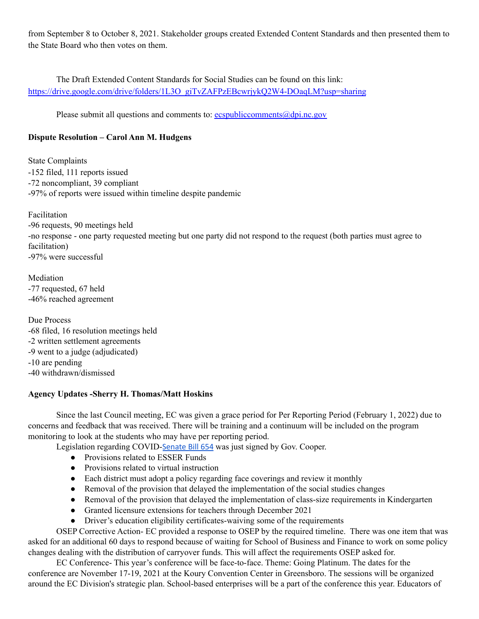from September 8 to October 8, 2021. Stakeholder groups created Extended Content Standards and then presented them to the State Board who then votes on them.

The Draft Extended Content Standards for Social Studies can be found on this link: https://drive.google.com/drive/folders/1L3O\_giTvZAFPzEBcwrjykO2W4-DOaqLM?usp=sharing

Please submit all questions and comments to:  $\frac{1}{10}$  ecspubliccomments  $\frac{1}{2}$  equals the equal of equals to:

# **Dispute Resolution – Carol Ann M. Hudgens**

State Complaints -152 filed, 111 reports issued -72 noncompliant, 39 compliant -97% of reports were issued within timeline despite pandemic

Facilitation -96 requests, 90 meetings held -no response - one party requested meeting but one party did not respond to the request (both parties must agree to facilitation) -97% were successful

Mediation -77 requested, 67 held -46% reached agreement

Due Process -68 filed, 16 resolution meetings held -2 written settlement agreements -9 went to a judge (adjudicated) -10 are pending -40 withdrawn/dismissed

## **Agency Updates -Sherry H. Thomas/Matt Hoskins**

Since the last Council meeting, EC was given a grace period for Per Reporting Period (February 1, 2022) due to concerns and feedback that was received. There will be training and a continuum will be included on the program monitoring to look at the students who may have per reporting period.

Legislation regarding COVID-[Senate](https://www.ncleg.gov/Sessions/2021/Bills/Senate/PDF/S654v6.pdf) Bill 654 was just signed by Gov. Cooper.

- Provisions related to ESSER Funds
- Provisions related to virtual instruction
- Each district must adopt a policy regarding face coverings and review it monthly
- Removal of the provision that delayed the implementation of the social studies changes
- Removal of the provision that delayed the implementation of class-size requirements in Kindergarten
- Granted licensure extensions for teachers through December 2021
- Driver's education eligibility certificates-waiving some of the requirements

OSEP Corrective Action- EC provided a response to OSEP by the required timeline. There was one item that was asked for an additional 60 days to respond because of waiting for School of Business and Finance to work on some policy changes dealing with the distribution of carryover funds. This will affect the requirements OSEP asked for.

EC Conference- This year's conference will be face-to-face. Theme: Going Platinum. The dates for the conference are November 17-19, 2021 at the Koury Convention Center in Greensboro. The sessions will be organized around the EC Division's strategic plan. School-based enterprises will be a part of the conference this year. Educators of